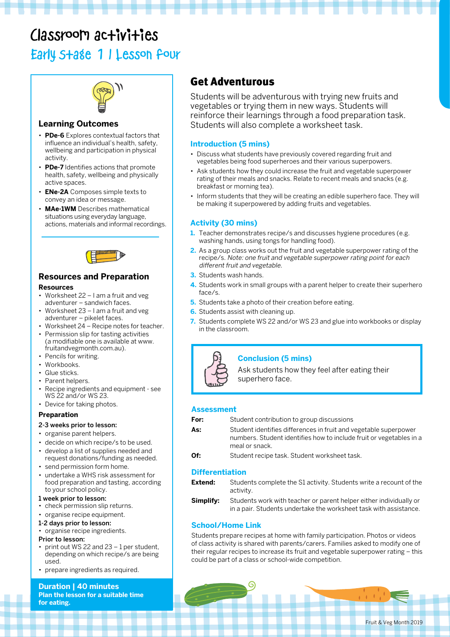## Classroom activities Early Stage 1 | Lesson four



### **Learning Outcomes**

- **PDe-6** Explores contextual factors that influence an individual's health, safety, wellbeing and participation in physical activity.
- **PDe-7** Identifies actions that promote health, safety, wellbeing and physically active spaces.
- **ENe-2A** Composes simple texts to convey an idea or message.
- **MAe-1WM** Describes mathematical situations using everyday language, actions, materials and informal recordings.



### **Resources and Preparation**

#### **Resources**

- Worksheet 22 Lam a fruit and veg adventurer – sandwich faces.
- Worksheet 23 I am a fruit and veg adventurer – pikelet faces.
- Worksheet 24 Recipe notes for teacher.
- Permission slip for tasting activities (a modifiable one is available at www. fruitandvegmonth.com.au).
- Pencils for writing.
- Workbooks.
- Glue sticks.
- Parent helpers.
- Recipe ingredients and equipment see WS 22 and/or WS 23.
- Device for taking photos.

### **Preparation**

### 2-3 weeks prior to lesson:

- organise parent helpers.
- decide on which recipe/s to be used.
- develop a list of supplies needed and request donations/funding as needed.
- send permission form home.
- undertake a WHS risk assessment for food preparation and tasting, according to your school policy.

### 1 week prior to lesson:

- check permission slip returns.
- organise recipe equipment.

#### 1-2 days prior to lesson:

• organise recipe ingredients.

#### Prior to lesson:

- print out WS 22 and  $23 1$  per student, depending on which recipe/s are being used.
- prepare ingredients as required.

**Duration | 40 minutes Plan the lesson for a suitable time for eating.**

### Get Adventurous

Students will be adventurous with trying new fruits and vegetables or trying them in new ways. Students will reinforce their learnings through a food preparation task. Students will also complete a worksheet task.

### **Introduction (5 mins)**

- Discuss what students have previously covered regarding fruit and vegetables being food superheroes and their various superpowers.
- Ask students how they could increase the fruit and vegetable superpower rating of their meals and snacks. Relate to recent meals and snacks (e.g. breakfast or morning tea).
- Inform students that they will be creating an edible superhero face. They will be making it superpowered by adding fruits and vegetables.

### **Activity (30 mins)**

- **1.** Teacher demonstrates recipe/s and discusses hygiene procedures (e.g. washing hands, using tongs for handling food).
- **2.** As a group class works out the fruit and vegetable superpower rating of the recipe/s. Note: one fruit and vegetable superpower rating point for each different fruit and vegetable.
- **3.** Students wash hands.
- **4.** Students work in small groups with a parent helper to create their superhero face/s.
- **5.** Students take a photo of their creation before eating.
- **6.** Students assist with cleaning up.
- **7.** Students complete WS 22 and/or WS 23 and glue into workbooks or display in the classroom.



### **Conclusion (5 mins)**

Ask students how they feel after eating their superhero face.

### **Assessment**

- **For:** Student contribution to group discussions
- **As:** Student identifies differences in fruit and vegetable superpower numbers. Student identifies how to include fruit or vegetables in a meal or snack.
- **Of:** Student recipe task. Student worksheet task.

### **Differentiation**

- **Extend:** Students complete the S1 activity. Students write a recount of the activity.
- **Simplify:** Students work with teacher or parent helper either individually or in a pair. Students undertake the worksheet task with assistance.

### **School/Home Link**

Students prepare recipes at home with family participation. Photos or videos of class activity is shared with parents/carers. Families asked to modify one of their regular recipes to increase its fruit and vegetable superpower rating – this could be part of a class or school-wide competition.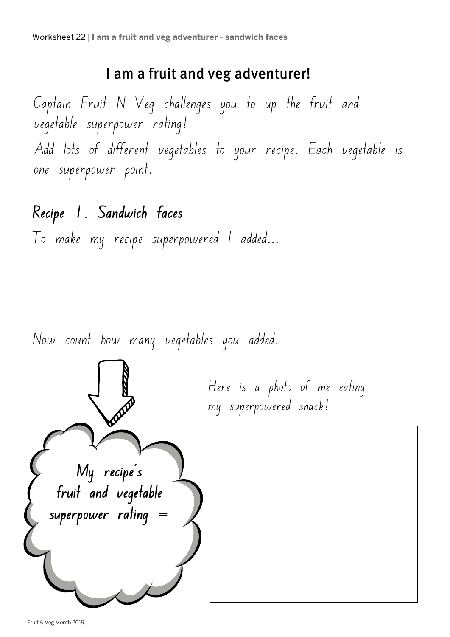### I am a fruit and veg adventurer!

Captain Fruit N Veg challenges you to up the fruit and vegetable superpower rating! Add lots of different vegetables to your recipe. Each vegetable is one superpower point.

# **Recipe 1. Sandwich faces**

To make my recipe superpowered I added...

Now count how many vegetables you added.

Here is a photo of me eating my superpowered snack!

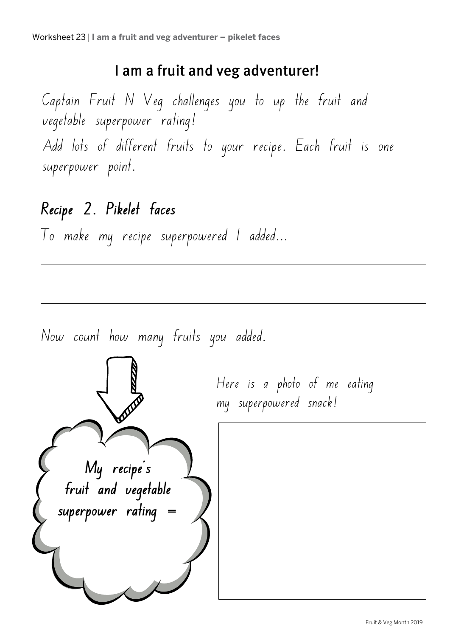## I am a fruit and veg adventurer!

Captain Fruit N Veg challenges you to up the fruit and vegetable superpower rating! Add lots of different fruits to your recipe. Each fruit is one superpower point.

# **Recipe 2. Pikelet faces**

To make my recipe superpowered I added...



Now count how many fruits you added.